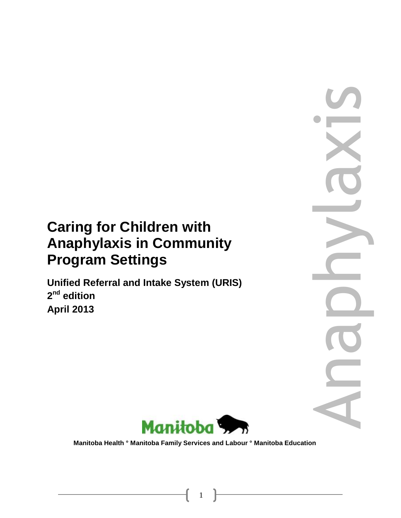# **Caring for Children with Anaphylaxis in Community Program Settings**

**Unified Referral and Intake System (URIS) 2 nd edition April 2013**





 **Manitoba Health ° Manitoba Family Services and Labour ° Manitoba Education**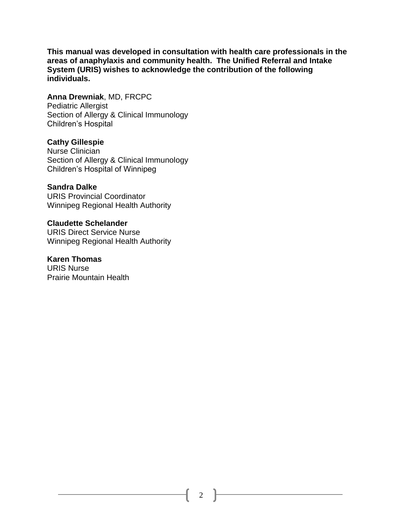**This manual was developed in consultation with health care professionals in the areas of anaphylaxis and community health. The Unified Referral and Intake System (URIS) wishes to acknowledge the contribution of the following individuals.**

**Anna Drewniak**, MD, FRCPC Pediatric Allergist Section of Allergy & Clinical Immunology Children's Hospital

#### **Cathy Gillespie**

Nurse Clinician Section of Allergy & Clinical Immunology Children's Hospital of Winnipeg

**Sandra Dalke**

URIS Provincial Coordinator Winnipeg Regional Health Authority

**Claudette Schelander** URIS Direct Service Nurse Winnipeg Regional Health Authority

**Karen Thomas** URIS Nurse Prairie Mountain Health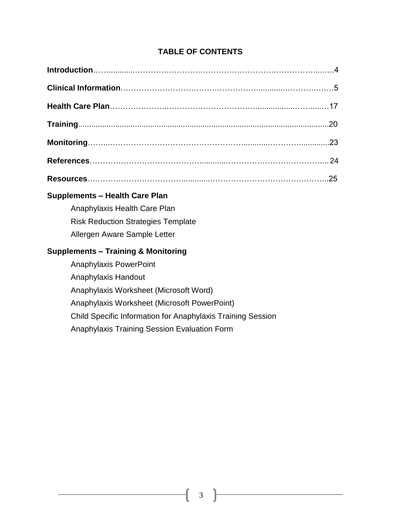## **TABLE OF CONTENTS**

| <b>Supplements - Health Care Plan</b>          |
|------------------------------------------------|
| Anaphylaxis Health Care Plan                   |
| <b>Risk Reduction Strategies Template</b>      |
| Allergen Aware Sample Letter                   |
| <b>Supplements – Training &amp; Monitoring</b> |
| <b>Anaphylaxis PowerPoint</b>                  |
| Anaphylaxis Handout                            |
| Anaphylaxis Worksheet (Microsoft Word)         |

Anaphylaxis Worksheet (Microsoft PowerPoint)

Child Specific Information for Anaphylaxis Training Session

Anaphylaxis Training Session Evaluation Form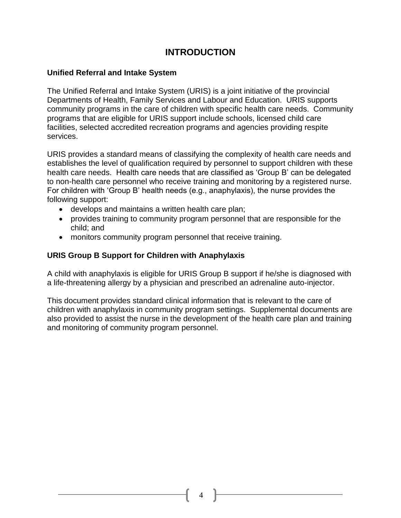# **INTRODUCTION**

#### **Unified Referral and Intake System**

The Unified Referral and Intake System (URIS) is a joint initiative of the provincial Departments of Health, Family Services and Labour and Education. URIS supports community programs in the care of children with specific health care needs. Community programs that are eligible for URIS support include schools, licensed child care facilities, selected accredited recreation programs and agencies providing respite services.

URIS provides a standard means of classifying the complexity of health care needs and establishes the level of qualification required by personnel to support children with these health care needs. Health care needs that are classified as 'Group B' can be delegated to non-health care personnel who receive training and monitoring by a registered nurse. For children with 'Group B' health needs (e.g., anaphylaxis), the nurse provides the following support:

- develops and maintains a written health care plan;
- provides training to community program personnel that are responsible for the child; and
- monitors community program personnel that receive training.

## **URIS Group B Support for Children with Anaphylaxis**

A child with anaphylaxis is eligible for URIS Group B support if he/she is diagnosed with a life-threatening allergy by a physician and prescribed an adrenaline auto-injector.

This document provides standard clinical information that is relevant to the care of children with anaphylaxis in community program settings. Supplemental documents are also provided to assist the nurse in the development of the health care plan and training and monitoring of community program personnel.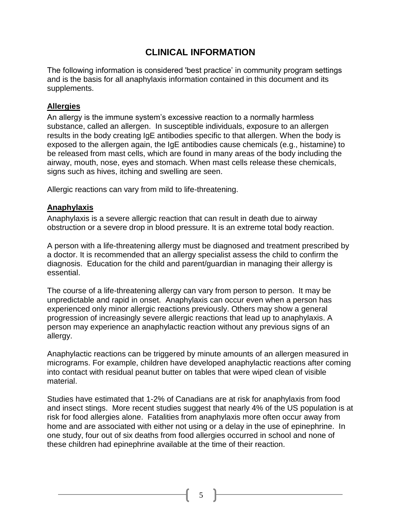# **CLINICAL INFORMATION**

The following information is considered 'best practice' in community program settings and is the basis for all anaphylaxis information contained in this document and its supplements.

## **Allergies**

An allergy is the immune system's excessive reaction to a normally harmless substance, called an allergen. In susceptible individuals, exposure to an allergen results in the body creating IgE antibodies specific to that allergen. When the body is exposed to the allergen again, the IgE antibodies cause chemicals (e.g., histamine) to be released from mast cells, which are found in many areas of the body including the airway, mouth, nose, eyes and stomach. When mast cells release these chemicals, signs such as hives, itching and swelling are seen.

Allergic reactions can vary from mild to life-threatening.

## **Anaphylaxis**

Anaphylaxis is a severe allergic reaction that can result in death due to airway obstruction or a severe drop in blood pressure. It is an extreme total body reaction.

A person with a life-threatening allergy must be diagnosed and treatment prescribed by a doctor. It is recommended that an allergy specialist assess the child to confirm the diagnosis. Education for the child and parent/guardian in managing their allergy is essential.

The course of a life-threatening allergy can vary from person to person. It may be unpredictable and rapid in onset. Anaphylaxis can occur even when a person has experienced only minor allergic reactions previously. Others may show a general progression of increasingly severe allergic reactions that lead up to anaphylaxis. A person may experience an anaphylactic reaction without any previous signs of an allergy.

Anaphylactic reactions can be triggered by minute amounts of an allergen measured in micrograms. For example, children have developed anaphylactic reactions after coming into contact with residual peanut butter on tables that were wiped clean of visible material.

Studies have estimated that 1-2% of Canadians are at risk for anaphylaxis from food and insect stings. More recent studies suggest that nearly 4% of the US population is at risk for food allergies alone. Fatalities from anaphylaxis more often occur away from home and are associated with either not using or a delay in the use of epinephrine. In one study, four out of six deaths from food allergies occurred in school and none of these children had epinephrine available at the time of their reaction.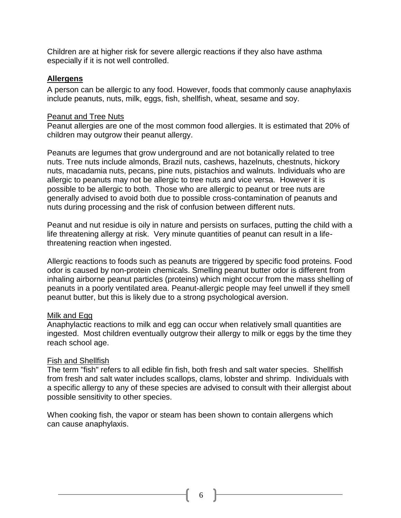Children are at higher risk for severe allergic reactions if they also have asthma especially if it is not well controlled.

#### **Allergens**

A person can be allergic to any food. However, foods that commonly cause anaphylaxis include peanuts, nuts, milk, eggs, fish, shellfish, wheat, sesame and soy.

#### Peanut and Tree Nuts

Peanut allergies are one of the most common food allergies. It is estimated that 20% of children may outgrow their peanut allergy.

Peanuts are legumes that grow underground and are not botanically related to tree nuts. Tree nuts include almonds, Brazil nuts, cashews, hazelnuts, chestnuts, hickory nuts, macadamia nuts, pecans, pine nuts, pistachios and walnuts. Individuals who are allergic to peanuts may not be allergic to tree nuts and vice versa. However it is possible to be allergic to both. Those who are allergic to peanut or tree nuts are generally advised to avoid both due to possible cross-contamination of peanuts and nuts during processing and the risk of confusion between different nuts.

Peanut and nut residue is oily in nature and persists on surfaces, putting the child with a life threatening allergy at risk. Very minute quantities of peanut can result in a lifethreatening reaction when ingested.

Allergic reactions to foods such as peanuts are triggered by specific food proteins*.* Food odor is caused by non-protein chemicals. Smelling peanut butter odor is different from inhaling airborne peanut particles (proteins) which might occur from the mass shelling of peanuts in a poorly ventilated area. Peanut-allergic people may feel unwell if they smell peanut butter, but this is likely due to a strong psychological aversion.

#### Milk and Egg

Anaphylactic reactions to milk and egg can occur when relatively small quantities are ingested. Most children eventually outgrow their allergy to milk or eggs by the time they reach school age.

## Fish and Shellfish

The term "fish" refers to all edible fin fish, both fresh and salt water species. Shellfish from fresh and salt water includes scallops, clams, lobster and shrimp. Individuals with a specific allergy to any of these species are advised to consult with their allergist about possible sensitivity to other species.

When cooking fish, the vapor or steam has been shown to contain allergens which can cause anaphylaxis.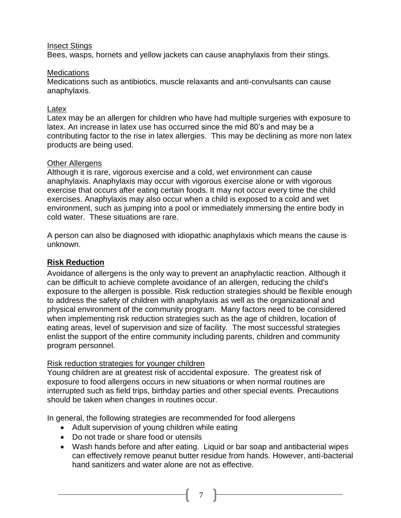#### Insect Stings

Bees, wasps, hornets and yellow jackets can cause anaphylaxis from their stings.

#### **Medications**

Medications such as antibiotics, muscle relaxants and anti-convulsants can cause anaphylaxis.

#### Latex

Latex may be an allergen for children who have had multiple surgeries with exposure to latex. An increase in latex use has occurred since the mid 80's and may be a contributing factor to the rise in latex allergies. This may be declining as more non latex products are being used.

#### Other Allergens

Although it is rare, vigorous exercise and a cold, wet environment can cause anaphylaxis. Anaphylaxis may occur with vigorous exercise alone or with vigorous exercise that occurs after eating certain foods. It may not occur every time the child exercises. Anaphylaxis may also occur when a child is exposed to a cold and wet environment, such as jumping into a pool or immediately immersing the entire body in cold water. These situations are rare.

A person can also be diagnosed with idiopathic anaphylaxis which means the cause is unknown.

## **Risk Reduction**

Avoidance of allergens is the only way to prevent an anaphylactic reaction. Although it can be difficult to achieve complete avoidance of an allergen, reducing the child's exposure to the allergen is possible. Risk reduction strategies should be flexible enough to address the safety of children with anaphylaxis as well as the organizational and physical environment of the community program. Many factors need to be considered when implementing risk reduction strategies such as the age of children, location of eating areas, level of supervision and size of facility. The most successful strategies enlist the support of the entire community including parents, children and community program personnel.

#### Risk reduction strategies for younger children

Young children are at greatest risk of accidental exposure. The greatest risk of exposure to food allergens occurs in new situations or when normal routines are interrupted such as field trips, birthday parties and other special events. Precautions should be taken when changes in routines occur.

In general, the following strategies are recommended for food allergens

- Adult supervision of young children while eating
- Do not trade or share food or utensils
- Wash hands before and after eating. Liquid or bar soap and antibacterial wipes can effectively remove peanut butter residue from hands. However, anti-bacterial hand sanitizers and water alone are not as effective.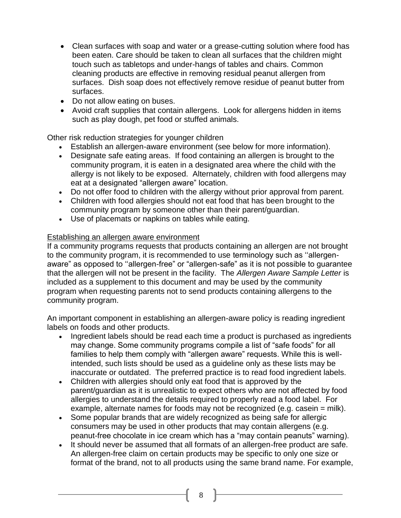- Clean surfaces with soap and water or a grease-cutting solution where food has been eaten. Care should be taken to clean all surfaces that the children might touch such as tabletops and under-hangs of tables and chairs. Common cleaning products are effective in removing residual peanut allergen from surfaces. Dish soap does not effectively remove residue of peanut butter from surfaces.
- Do not allow eating on buses.
- Avoid craft supplies that contain allergens. Look for allergens hidden in items such as play dough, pet food or stuffed animals.

Other risk reduction strategies for younger children

- Establish an allergen-aware environment (see below for more information).
- Designate safe eating areas. If food containing an allergen is brought to the community program, it is eaten in a designated area where the child with the allergy is not likely to be exposed. Alternately, children with food allergens may eat at a designated "allergen aware" location.
- Do not offer food to children with the allergy without prior approval from parent.
- Children with food allergies should not eat food that has been brought to the community program by someone other than their parent/guardian.
- Use of placemats or napkins on tables while eating.

#### Establishing an allergen aware environment

If a community programs requests that products containing an allergen are not brought to the community program, it is recommended to use terminology such as ''allergenaware" as opposed to ''allergen-free" or "allergen-safe" as it is not possible to guarantee that the allergen will not be present in the facility. The *Allergen Aware Sample Letter* is included as a supplement to this document and may be used by the community program when requesting parents not to send products containing allergens to the community program.

An important component in establishing an allergen-aware policy is reading ingredient labels on foods and other products.

- Ingredient labels should be read each time a product is purchased as ingredients may change. Some community programs compile a list of "safe foods" for all families to help them comply with "allergen aware" requests. While this is wellintended, such lists should be used as a guideline only as these lists may be inaccurate or outdated. The preferred practice is to read food ingredient labels.
- Children with allergies should only eat food that is approved by the parent/guardian as it is unrealistic to expect others who are not affected by food allergies to understand the details required to properly read a food label. For example, alternate names for foods may not be recognized (e.g. casein = milk).
- Some popular brands that are widely recognized as being safe for allergic consumers may be used in other products that may contain allergens (e.g. peanut-free chocolate in ice cream which has a "may contain peanuts" warning).
- It should never be assumed that all formats of an allergen-free product are safe. An allergen-free claim on certain products may be specific to only one size or format of the brand, not to all products using the same brand name. For example,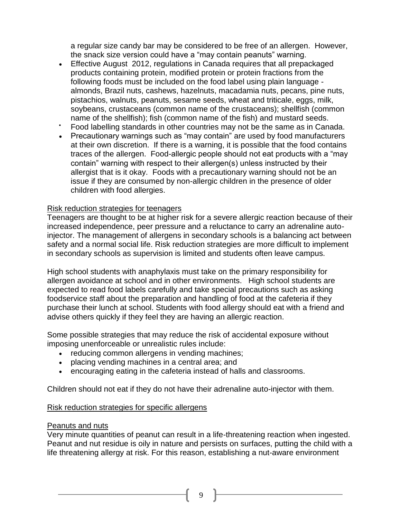a regular size candy bar may be considered to be free of an allergen. However, the snack size version could have a "may contain peanuts" warning.

- Effective August 2012, regulations in Canada requires that all prepackaged products containing protein, modified protein or protein fractions from the following foods must be included on the food label using plain language almonds, Brazil nuts, cashews, hazelnuts, macadamia nuts, pecans, pine nuts, pistachios, walnuts, peanuts, sesame seeds, wheat and triticale, eggs, milk, soybeans, crustaceans (common name of the crustaceans); shellfish (common name of the shellfish); fish (common name of the fish) and mustard seeds.
- Food labelling standards in other countries may not be the same as in Canada.
- Precautionary warnings such as "may contain" are used by food manufacturers at their own discretion. If there is a warning, it is possible that the food contains traces of the allergen. Food-allergic people should not eat products with a "may contain" warning with respect to their allergen(s) unless instructed by their allergist that is it okay. Foods with a precautionary warning should not be an issue if they are consumed by non-allergic children in the presence of older children with food allergies.

#### Risk reduction strategies for teenagers

Teenagers are thought to be at higher risk for a severe allergic reaction because of their increased independence, peer pressure and a reluctance to carry an adrenaline autoinjector. The management of allergens in secondary schools is a balancing act between safety and a normal social life. Risk reduction strategies are more difficult to implement in secondary schools as supervision is limited and students often leave campus.

High school students with anaphylaxis must take on the primary responsibility for allergen avoidance at school and in other environments. High school students are expected to read food labels carefully and take special precautions such as asking foodservice staff about the preparation and handling of food at the cafeteria if they purchase their lunch at school. Students with food allergy should eat with a friend and advise others quickly if they feel they are having an allergic reaction.

Some possible strategies that may reduce the risk of accidental exposure without imposing unenforceable or unrealistic rules include:

- reducing common allergens in vending machines;
- placing vending machines in a central area; and
- encouraging eating in the cafeteria instead of halls and classrooms.

Children should not eat if they do not have their adrenaline auto-injector with them.

#### Risk reduction strategies for specific allergens

#### Peanuts and nuts

Very minute quantities of peanut can result in a life-threatening reaction when ingested. Peanut and nut residue is oily in nature and persists on surfaces, putting the child with a life threatening allergy at risk. For this reason, establishing a nut-aware environment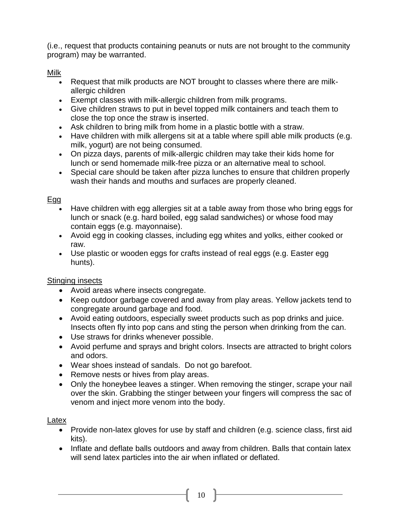(i.e., request that products containing peanuts or nuts are not brought to the community program) may be warranted.

Milk

- Request that milk products are NOT brought to classes where there are milkallergic children
- Exempt classes with milk-allergic children from milk programs.
- Give children straws to put in bevel topped milk containers and teach them to close the top once the straw is inserted.
- Ask children to bring milk from home in a plastic bottle with a straw.
- Have children with milk allergens sit at a table where spill able milk products (e.g. milk, yogurt) are not being consumed.
- On pizza days, parents of milk-allergic children may take their kids home for lunch or send homemade milk-free pizza or an alternative meal to school.
- Special care should be taken after pizza lunches to ensure that children properly wash their hands and mouths and surfaces are properly cleaned.

# Egg

- Have children with egg allergies sit at a table away from those who bring eggs for lunch or snack (e.g. hard boiled, egg salad sandwiches) or whose food may contain eggs (e.g. mayonnaise).
- Avoid egg in cooking classes, including egg whites and yolks, either cooked or raw.
- Use plastic or wooden eggs for crafts instead of real eggs (e.g. Easter egg hunts).

# Stinging insects

- Avoid areas where insects congregate.
- Keep outdoor garbage covered and away from play areas. Yellow jackets tend to congregate around garbage and food.
- Avoid eating outdoors, especially sweet products such as pop drinks and juice. Insects often fly into pop cans and sting the person when drinking from the can.
- Use straws for drinks whenever possible.
- Avoid perfume and sprays and bright colors. Insects are attracted to bright colors and odors.
- Wear shoes instead of sandals. Do not go barefoot.
- Remove nests or hives from play areas.
- Only the honeybee leaves a stinger. When removing the stinger, scrape your nail over the skin. Grabbing the stinger between your fingers will compress the sac of venom and inject more venom into the body.

## Latex

- Provide non-latex gloves for use by staff and children (e.g. science class, first aid kits).
- Inflate and deflate balls outdoors and away from children. Balls that contain latex will send latex particles into the air when inflated or deflated.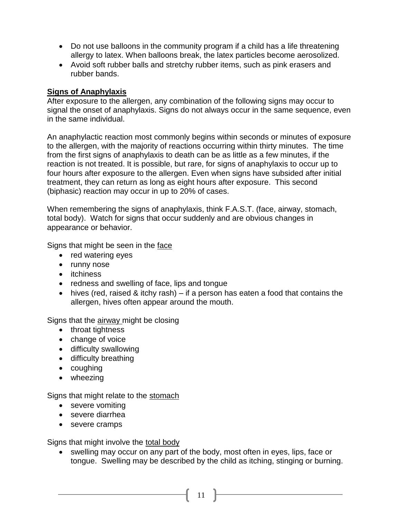- Do not use balloons in the community program if a child has a life threatening allergy to latex. When balloons break, the latex particles become aerosolized.
- Avoid soft rubber balls and stretchy rubber items, such as pink erasers and rubber bands.

#### **Signs of Anaphylaxis**

After exposure to the allergen, any combination of the following signs may occur to signal the onset of anaphylaxis. Signs do not always occur in the same sequence, even in the same individual.

An anaphylactic reaction most commonly begins within seconds or minutes of exposure to the allergen, with the majority of reactions occurring within thirty minutes. The time from the first signs of anaphylaxis to death can be as little as a few minutes, if the reaction is not treated. It is possible, but rare, for signs of anaphylaxis to occur up to four hours after exposure to the allergen. Even when signs have subsided after initial treatment, they can return as long as eight hours after exposure. This second (biphasic) reaction may occur in up to 20% of cases.

When remembering the signs of anaphylaxis, think F.A.S.T. (face, airway, stomach, total body). Watch for signs that occur suddenly and are obvious changes in appearance or behavior.

Signs that might be seen in the face

- red watering eyes
- runny nose
- itchiness
- redness and swelling of face, lips and tongue
- hives (red, raised & itchy rash) if a person has eaten a food that contains the allergen, hives often appear around the mouth.

Signs that the airway might be closing

- throat tightness
- change of voice
- difficulty swallowing
- difficulty breathing
- coughing
- wheezing

Signs that might relate to the stomach

- severe vomiting
- severe diarrhea
- severe cramps

Signs that might involve the total body

• swelling may occur on any part of the body, most often in eyes, lips, face or tongue. Swelling may be described by the child as itching, stinging or burning.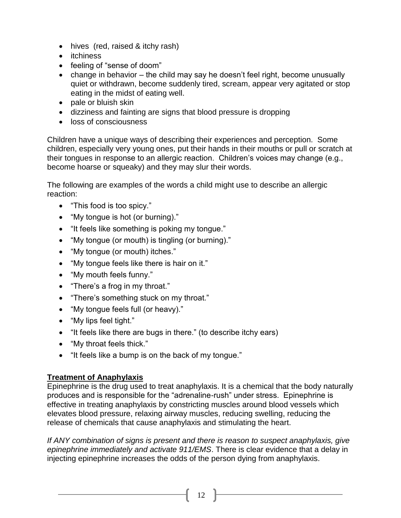- hives (red, raised & itchy rash)
- itchiness
- feeling of "sense of doom"
- change in behavior the child may say he doesn't feel right, become unusually quiet or withdrawn, become suddenly tired, scream, appear very agitated or stop eating in the midst of eating well.
- pale or bluish skin
- dizziness and fainting are signs that blood pressure is dropping
- **.** loss of consciousness

Children have a unique ways of describing their experiences and perception. Some children, especially very young ones, put their hands in their mouths or pull or scratch at their tongues in response to an allergic reaction. Children's voices may change (e.g., become hoarse or squeaky) and they may slur their words.

The following are examples of the words a child might use to describe an allergic reaction:

- "This food is too spicy."
- "My tongue is hot (or burning)."
- "It feels like something is poking my tongue."
- "My tongue (or mouth) is tingling (or burning)."
- "My tongue (or mouth) itches."
- "My tongue feels like there is hair on it."
- "My mouth feels funny."
- "There's a frog in my throat."
- "There's something stuck on my throat."
- "My tongue feels full (or heavy)."
- "My lips feel tight."
- "It feels like there are bugs in there." (to describe itchy ears)
- "My throat feels thick."
- "It feels like a bump is on the back of my tongue."

#### **Treatment of Anaphylaxis**

Epinephrine is the drug used to treat anaphylaxis. It is a chemical that the body naturally produces and is responsible for the "adrenaline-rush" under stress. Epinephrine is effective in treating anaphylaxis by constricting muscles around blood vessels which elevates blood pressure, relaxing airway muscles, reducing swelling, reducing the release of chemicals that cause anaphylaxis and stimulating the heart.

*If ANY combination of signs is present and there is reason to suspect anaphylaxis, give epinephrine immediately and activate 911/EMS*. There is clear evidence that a delay in injecting epinephrine increases the odds of the person dying from anaphylaxis.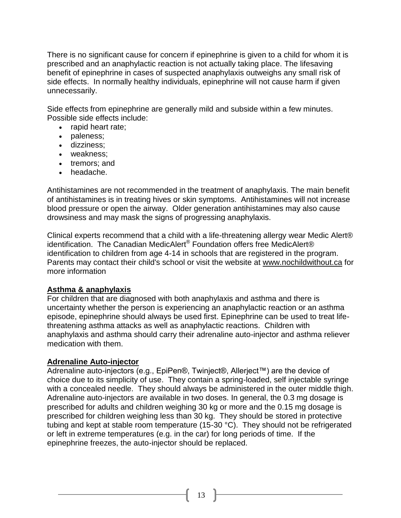There is no significant cause for concern if epinephrine is given to a child for whom it is prescribed and an anaphylactic reaction is not actually taking place. The lifesaving benefit of epinephrine in cases of suspected anaphylaxis outweighs any small risk of side effects. In normally healthy individuals, epinephrine will not cause harm if given unnecessarily.

Side effects from epinephrine are generally mild and subside within a few minutes. Possible side effects include:

- rapid heart rate:
- paleness;
- dizziness;
- weakness;
- tremors: and
- headache.

Antihistamines are not recommended in the treatment of anaphylaxis. The main benefit of antihistamines is in treating hives or skin symptoms. Antihistamines will not increase blood pressure or open the airway. Older generation antihistamines may also cause drowsiness and may mask the signs of progressing anaphylaxis.

Clinical experts recommend that a child with a life-threatening allergy wear Medic Alert® identification. The Canadian MedicAlert® Foundation offers free MedicAlert® identification to children from age 4-14 in schools that are registered in the program. Parents may contact their child's school or visit the website at [www.nochildwithout.ca](http://www.nochildwithout.ca/) for more information

## **Asthma & anaphylaxis**

For children that are diagnosed with both anaphylaxis and asthma and there is uncertainty whether the person is experiencing an anaphylactic reaction or an asthma episode, epinephrine should always be used first. Epinephrine can be used to treat lifethreatening asthma attacks as well as anaphylactic reactions. Children with anaphylaxis and asthma should carry their adrenaline auto-injector and asthma reliever medication with them.

#### **Adrenaline Auto-injector**

Adrenaline auto-injectors (e.g., EpiPen®, Twinject®, Allerject™) are the device of choice due to its simplicity of use. They contain a spring-loaded, self injectable syringe with a concealed needle. They should always be administered in the outer middle thigh. Adrenaline auto-injectors are available in two doses. In general, the 0.3 mg dosage is prescribed for adults and children weighing 30 kg or more and the 0.15 mg dosage is prescribed for children weighing less than 30 kg. They should be stored in protective tubing and kept at stable room temperature (15-30 °C). They should not be refrigerated or left in extreme temperatures (e.g. in the car) for long periods of time. If the epinephrine freezes, the auto-injector should be replaced.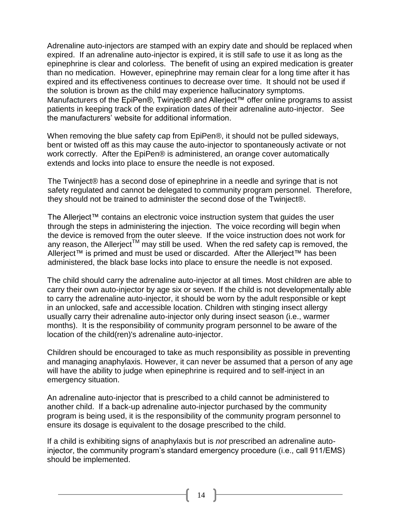Adrenaline auto-injectors are stamped with an expiry date and should be replaced when expired. If an adrenaline auto-injector is expired, it is still safe to use it as long as the epinephrine is clear and colorless. The benefit of using an expired medication is greater than no medication. However, epinephrine may remain clear for a long time after it has expired and its effectiveness continues to decrease over time. It should not be used if the solution is brown as the child may experience hallucinatory symptoms. Manufacturers of the EpiPen®, Twinject® and Allerject™ offer online programs to assist patients in keeping track of the expiration dates of their adrenaline auto-injector. See the manufacturers' website for additional information.

When removing the blue safety cap from EpiPen®, it should not be pulled sideways, bent or twisted off as this may cause the auto-injector to spontaneously activate or not work correctly. After the EpiPen® is administered, an orange cover automatically extends and locks into place to ensure the needle is not exposed.

The Twinject® has a second dose of epinephrine in a needle and syringe that is not safety regulated and cannot be delegated to community program personnel. Therefore, they should not be trained to administer the second dose of the Twinject®.

The Allerject™ contains an electronic voice instruction system that guides the user through the steps in administering the injection. The voice recording will begin when the device is removed from the outer sleeve. If the voice instruction does not work for any reason, the Allerject<sup>TM</sup> may still be used. When the red safety cap is removed, the Allerject™ is primed and must be used or discarded. After the Allerject™ has been administered, the black base locks into place to ensure the needle is not exposed.

The child should carry the adrenaline auto-injector at all times. Most children are able to carry their own auto-injector by age six or seven. If the child is not developmentally able to carry the adrenaline auto-injector, it should be worn by the adult responsible or kept in an unlocked, safe and accessible location. Children with stinging insect allergy usually carry their adrenaline auto-injector only during insect season (i.e., warmer months). It is the responsibility of community program personnel to be aware of the location of the child(ren)'s adrenaline auto-injector.

Children should be encouraged to take as much responsibility as possible in preventing and managing anaphylaxis. However, it can never be assumed that a person of any age will have the ability to judge when epinephrine is required and to self-inject in an emergency situation.

An adrenaline auto-injector that is prescribed to a child cannot be administered to another child. If a back-up adrenaline auto-injector purchased by the community program is being used, it is the responsibility of the community program personnel to ensure its dosage is equivalent to the dosage prescribed to the child.

If a child is exhibiting signs of anaphylaxis but is *not* prescribed an adrenaline autoinjector, the community program's standard emergency procedure (i.e., call 911/EMS) should be implemented.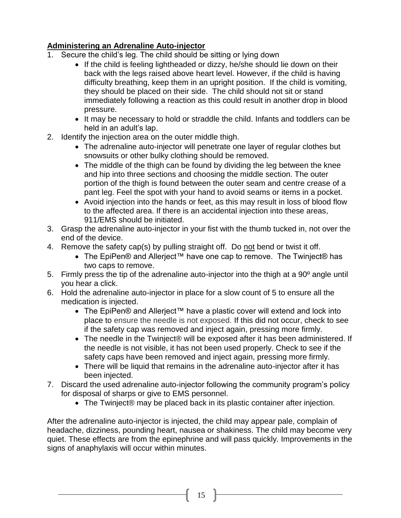## **Administering an Adrenaline Auto-injector**

- 1. Secure the child's leg. The child should be sitting or lying down
	- If the child is feeling lightheaded or dizzy, he/she should lie down on their back with the legs raised above heart level. However, if the child is having difficulty breathing, keep them in an upright position. If the child is vomiting, they should be placed on their side. The child should not sit or stand immediately following a reaction as this could result in another drop in blood pressure.
	- It may be necessary to hold or straddle the child. Infants and toddlers can be held in an adult's lap.
- 2. Identify the injection area on the outer middle thigh.
	- The adrenaline auto-injector will penetrate one layer of regular clothes but snowsuits or other bulky clothing should be removed.
	- The middle of the thigh can be found by dividing the leg between the knee and hip into three sections and choosing the middle section. The outer portion of the thigh is found between the outer seam and centre crease of a pant leg. Feel the spot with your hand to avoid seams or items in a pocket.
	- Avoid injection into the hands or feet, as this may result in loss of blood flow to the affected area. If there is an accidental injection into these areas, 911/EMS should be initiated.
- 3. Grasp the adrenaline auto-injector in your fist with the thumb tucked in, not over the end of the device.
- 4. Remove the safety cap(s) by pulling straight off. Do not bend or twist it off.
	- The EpiPen® and Allerject™ have one cap to remove. The Twinject® has two caps to remove.
- 5. Firmly press the tip of the adrenaline auto-injector into the thigh at a 90º angle until you hear a click.
- 6. Hold the adrenaline auto-injector in place for a slow count of 5 to ensure all the medication is injected.
	- The EpiPen® and Allerject™ have a plastic cover will extend and lock into place to ensure the needle is not exposed. If this did not occur, check to see if the safety cap was removed and inject again, pressing more firmly.
	- The needle in the Twinject® will be exposed after it has been administered. If the needle is not visible, it has not been used properly. Check to see if the safety caps have been removed and inject again, pressing more firmly.
	- There will be liquid that remains in the adrenaline auto-injector after it has been injected.
- 7. Discard the used adrenaline auto-injector following the community program's policy for disposal of sharps or give to EMS personnel.
	- The Twinject® may be placed back in its plastic container after injection.

After the adrenaline auto-injector is injected, the child may appear pale, complain of headache, dizziness, pounding heart, nausea or shakiness. The child may become very quiet. These effects are from the epinephrine and will pass quickly. Improvements in the signs of anaphylaxis will occur within minutes.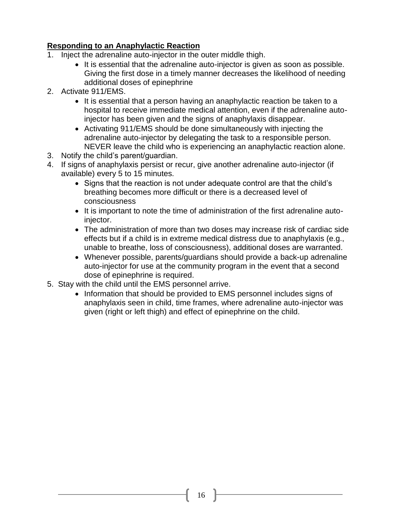## **Responding to an Anaphylactic Reaction**

- 1. Inject the adrenaline auto-injector in the outer middle thigh.
	- It is essential that the adrenaline auto-injector is given as soon as possible. Giving the first dose in a timely manner decreases the likelihood of needing additional doses of epinephrine
- 2. Activate 911/EMS.
	- It is essential that a person having an anaphylactic reaction be taken to a hospital to receive immediate medical attention, even if the adrenaline autoinjector has been given and the signs of anaphylaxis disappear.
	- Activating 911/EMS should be done simultaneously with injecting the adrenaline auto-injector by delegating the task to a responsible person. NEVER leave the child who is experiencing an anaphylactic reaction alone.
- 3. Notify the child's parent/guardian.
- 4. If signs of anaphylaxis persist or recur, give another adrenaline auto-injector (if available) every 5 to 15 minutes.
	- Signs that the reaction is not under adequate control are that the child's breathing becomes more difficult or there is a decreased level of consciousness
	- It is important to note the time of administration of the first adrenaline autoinjector.
	- The administration of more than two doses may increase risk of cardiac side effects but if a child is in extreme medical distress due to anaphylaxis (e.g., unable to breathe, loss of consciousness), additional doses are warranted.
	- Whenever possible, parents/guardians should provide a back-up adrenaline auto-injector for use at the community program in the event that a second dose of epinephrine is required.
- 5. Stay with the child until the EMS personnel arrive.
	- Information that should be provided to EMS personnel includes signs of anaphylaxis seen in child, time frames, where adrenaline auto-injector was given (right or left thigh) and effect of epinephrine on the child.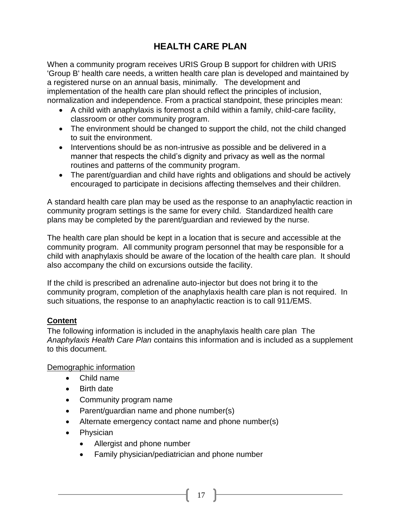# **HEALTH CARE PLAN**

When a community program receives URIS Group B support for children with URIS 'Group B' health care needs, a written health care plan is developed and maintained by a registered nurse on an annual basis, minimally. The development and implementation of the health care plan should reflect the principles of inclusion, normalization and independence. From a practical standpoint, these principles mean:

- A child with anaphylaxis is foremost a child within a family, child-care facility, classroom or other community program.
- The environment should be changed to support the child, not the child changed to suit the environment.
- Interventions should be as non-intrusive as possible and be delivered in a manner that respects the child's dignity and privacy as well as the normal routines and patterns of the community program.
- The parent/guardian and child have rights and obligations and should be actively encouraged to participate in decisions affecting themselves and their children.

A standard health care plan may be used as the response to an anaphylactic reaction in community program settings is the same for every child. Standardized health care plans may be completed by the parent/guardian and reviewed by the nurse.

The health care plan should be kept in a location that is secure and accessible at the community program. All community program personnel that may be responsible for a child with anaphylaxis should be aware of the location of the health care plan. It should also accompany the child on excursions outside the facility.

If the child is prescribed an adrenaline auto-injector but does not bring it to the community program, completion of the anaphylaxis health care plan is not required. In such situations, the response to an anaphylactic reaction is to call 911/EMS.

## **Content**

The following information is included in the anaphylaxis health care plan The *Anaphylaxis Health Care Plan* contains this information and is included as a supplement to this document.

## Demographic information

- Child name
- Birth date
- Community program name
- Parent/guardian name and phone number(s)
- Alternate emergency contact name and phone number(s)
- Physician
	- Allergist and phone number
	- Family physician/pediatrician and phone number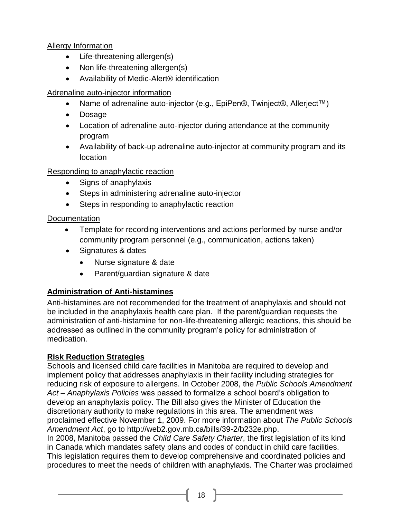## Allergy Information

- Life-threatening allergen(s)
- Non life-threatening allergen(s)
- Availability of Medic-Alert<sup>®</sup> identification

## Adrenaline auto-injector information

- Name of adrenaline auto-injector (e.g., EpiPen®, Twinject®, Allerject™)
- Dosage
- Location of adrenaline auto-injector during attendance at the community program
- Availability of back-up adrenaline auto-injector at community program and its location

## Responding to anaphylactic reaction

- Signs of anaphylaxis
- Steps in administering adrenaline auto-injector
- Steps in responding to anaphylactic reaction

## **Documentation**

- Template for recording interventions and actions performed by nurse and/or community program personnel (e.g., communication, actions taken)
- Signatures & dates
	- Nurse signature & date
	- Parent/guardian signature & date

# **Administration of Anti-histamines**

Anti-histamines are not recommended for the treatment of anaphylaxis and should not be included in the anaphylaxis health care plan. If the parent/guardian requests the administration of anti-histamine for non-life-threatening allergic reactions*,* this should be addressed as outlined in the community program's policy for administration of medication.

# **Risk Reduction Strategies**

Schools and licensed child care facilities in Manitoba are required to develop and implement policy that addresses anaphylaxis in their facility including strategies for reducing risk of exposure to allergens. In October 2008, the *Public Schools Amendment Act – Anaphylaxis Policies* was passed to formalize a school board's obligation to develop an anaphylaxis policy. The Bill also gives the Minister of Education the discretionary authority to make regulations in this area. The amendment was proclaimed effective November 1, 2009. For more information about *The Public Schools Amendment Act*, go to [http://web2.gov.mb.ca/bills/39-2/b232e.php.](http://web2.gov.mb.ca/bills/39-2/b232e.php)

In 2008, Manitoba passed the *Child Care Safety Charter*, the first legislation of its kind in Canada which mandates safety plans and codes of conduct in child care facilities. This legislation requires them to develop comprehensive and coordinated policies and procedures to meet the needs of children with anaphylaxis. The Charter was proclaimed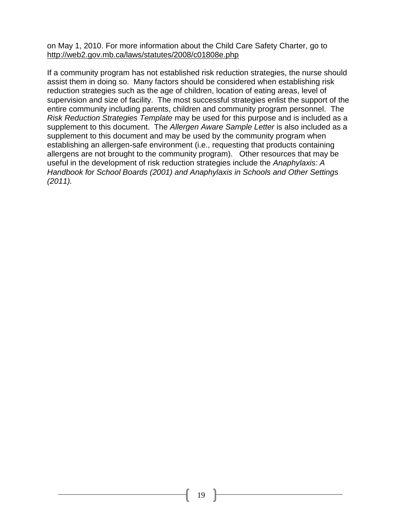on May 1, 2010. For more information about the Child Care Safety Charter, go to <http://web2.gov.mb.ca/laws/statutes/2008/c01808e.php>

If a community program has not established risk reduction strategies, the nurse should assist them in doing so. Many factors should be considered when establishing risk reduction strategies such as the age of children, location of eating areas, level of supervision and size of facility. The most successful strategies enlist the support of the entire community including parents, children and community program personnel. The *Risk Reduction Strategies Template* may be used for this purpose and is included as a supplement to this document. The *Allergen Aware Sample Letter* is also included as a supplement to this document and may be used by the community program when establishing an allergen-safe environment (i.e., requesting that products containing allergens are not brought to the community program). Other resources that may be useful in the development of risk reduction strategies include the *Anaphylaxis: A Handbook for School Boards (2001) and Anaphylaxis in Schools and Other Settings (2011).*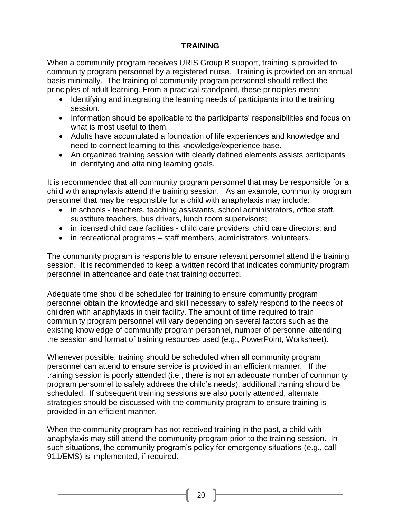## **TRAINING**

When a community program receives URIS Group B support, training is provided to community program personnel by a registered nurse. Training is provided on an annual basis minimally. The training of community program personnel should reflect the principles of adult learning. From a practical standpoint, these principles mean:

- Identifying and integrating the learning needs of participants into the training session.
- Information should be applicable to the participants' responsibilities and focus on what is most useful to them.
- Adults have accumulated a foundation of life experiences and knowledge and need to connect learning to this knowledge/experience base.
- An organized training session with clearly defined elements assists participants in identifying and attaining learning goals.

It is recommended that all community program personnel that may be responsible for a child with anaphylaxis attend the training session. As an example, community program personnel that may be responsible for a child with anaphylaxis may include:

- in schools teachers, teaching assistants, school administrators, office staff, substitute teachers, bus drivers, lunch room supervisors;
- in licensed child care facilities child care providers, child care directors; and
- in recreational programs staff members, administrators, volunteers.

The community program is responsible to ensure relevant personnel attend the training session. It is recommended to keep a written record that indicates community program personnel in attendance and date that training occurred.

Adequate time should be scheduled for training to ensure community program personnel obtain the knowledge and skill necessary to safely respond to the needs of children with anaphylaxis in their facility. The amount of time required to train community program personnel will vary depending on several factors such as the existing knowledge of community program personnel, number of personnel attending the session and format of training resources used (e.g., PowerPoint, Worksheet).

Whenever possible, training should be scheduled when all community program personnel can attend to ensure service is provided in an efficient manner. If the training session is poorly attended (i.e., there is not an adequate number of community program personnel to safely address the child's needs), additional training should be scheduled. If subsequent training sessions are also poorly attended, alternate strategies should be discussed with the community program to ensure training is provided in an efficient manner.

When the community program has not received training in the past, a child with anaphylaxis may still attend the community program prior to the training session. In such situations, the community program's policy for emergency situations (e.g., call 911/EMS) is implemented, if required.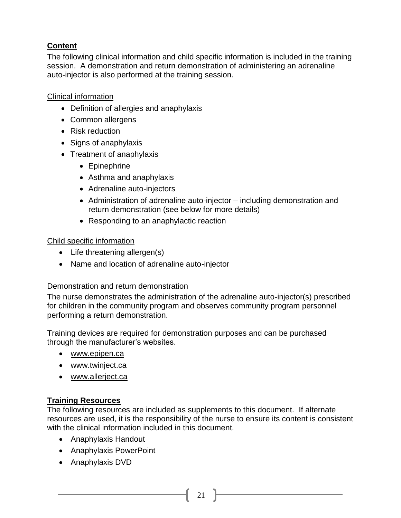# **Content**

The following clinical information and child specific information is included in the training session. A demonstration and return demonstration of administering an adrenaline auto-injector is also performed at the training session.

## Clinical information

- Definition of allergies and anaphylaxis
- Common allergens
- Risk reduction
- Signs of anaphylaxis
- Treatment of anaphylaxis
	- Epinephrine
	- Asthma and anaphylaxis
	- Adrenaline auto-injectors
	- Administration of adrenaline auto-injector including demonstration and return demonstration (see below for more details)
	- Responding to an anaphylactic reaction

## Child specific information

- Life threatening allergen(s)
- Name and location of adrenaline auto-injector

## Demonstration and return demonstration

The nurse demonstrates the administration of the adrenaline auto-injector(s) prescribed for children in the community program and observes community program personnel performing a return demonstration.

Training devices are required for demonstration purposes and can be purchased through the manufacturer's websites.

- [www.epipen.ca](http://www.epipen.ca/)
- [www.twinject.ca](http://www.twinject.ca/)
- [www.allerject.ca](http://www.allerject.ca/)

## **Training Resources**

The following resources are included as supplements to this document. If alternate resources are used, it is the responsibility of the nurse to ensure its content is consistent with the clinical information included in this document.

- Anaphylaxis Handout
- Anaphylaxis PowerPoint
- Anaphylaxis DVD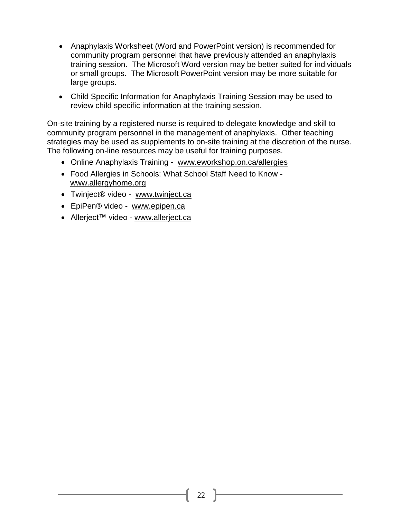- Anaphylaxis Worksheet (Word and PowerPoint version) is recommended for community program personnel that have previously attended an anaphylaxis training session. The Microsoft Word version may be better suited for individuals or small groups. The Microsoft PowerPoint version may be more suitable for large groups.
- Child Specific Information for Anaphylaxis Training Session may be used to review child specific information at the training session.

On-site training by a registered nurse is required to delegate knowledge and skill to community program personnel in the management of anaphylaxis. Other teaching strategies may be used as supplements to on-site training at the discretion of the nurse. The following on-line resources may be useful for training purposes.

- Online Anaphylaxis Training [www.eworkshop.on.ca/allergies](http://www.eworkshop.on.ca/allergies)
- Food Allergies in Schools: What School Staff Need to Know [www.allergyhome.org](http://www.allergyhome.org/)
- Twinject® video *-* [www.twinject.ca](http://www.twinject.ca/)
- EpiPen® video [www.epipen.ca](http://www.epipen.ca/)
- Allerject™ video [www.allerject.ca](http://www.allerject.ca/)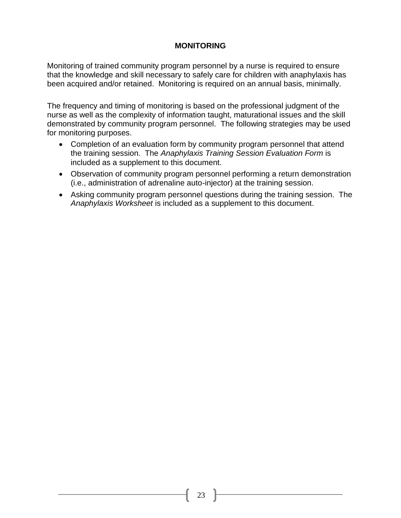## **MONITORING**

Monitoring of trained community program personnel by a nurse is required to ensure that the knowledge and skill necessary to safely care for children with anaphylaxis has been acquired and/or retained. Monitoring is required on an annual basis, minimally.

The frequency and timing of monitoring is based on the professional judgment of the nurse as well as the complexity of information taught, maturational issues and the skill demonstrated by community program personnel. The following strategies may be used for monitoring purposes.

- Completion of an evaluation form by community program personnel that attend the training session. The *Anaphylaxis Training Session Evaluation Form* is included as a supplement to this document.
- Observation of community program personnel performing a return demonstration (i.e., administration of adrenaline auto-injector) at the training session.
- Asking community program personnel questions during the training session. The *Anaphylaxis Worksheet* is included as a supplement to this document.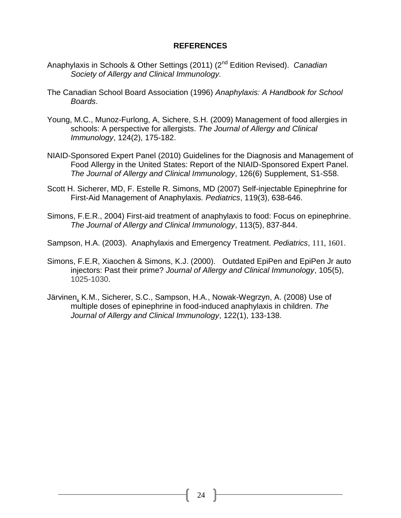#### **REFERENCES**

- Anaphylaxis in Schools & Other Settings (2011) (2nd Edition Revised). *Canadian Society of Allergy and Clinical Immunology.*
- The Canadian School Board Association (1996) *Anaphylaxis: A Handbook for School Boards*.
- Young, M.C., Munoz-Furlong, A, Sichere, S.H. (2009) Management of food allergies in schools: A perspective for allergists. *The Journal of Allergy and Clinical Immunology*, 124(2), 175-182.
- NIAID-Sponsored Expert Panel (2010) Guidelines for the Diagnosis and Management of Food Allergy in the United States: Report of the NIAID-Sponsored Expert Panel. *The Journal of Allergy and Clinical Immunology*, 126(6) Supplement, S1-S58.
- Scott H. Sicherer, MD, F. Estelle R. Simons, MD (2007) Self-injectable Epinephrine for First-Aid Management of Anaphylaxis*. Pediatrics*, 119(3), 638-646.
- Simons, F.E.R., 2004) First-aid treatment of anaphylaxis to food: Focus on epinephrine. *The Journal of Allergy and Clinical Immunology*, 113(5), 837-844.
- Sampson, H.A. (2003). Anaphylaxis and Emergency Treatment. *Pediatrics*, 111, 1601.
- Simons, F.E.R, Xiaochen & Simons, K.J. (2000). Outdated EpiPen and EpiPen Jr auto injectors: Past their prime? *Journal of Allergy and Clinical Immunology*, 105(5), 1025-1030.
- [Järvinen,](http://www.jacionline.org/article/S0091-6749(08)00775-6/fulltext) K.M., Sicherer, S.C., Sampson, H.A., Nowak-Wegrzyn, A. (2008) Use of multiple doses of epinephrine in food-induced anaphylaxis in children. *The Journal of Allergy and Clinical Immunology*, 122(1), 133-138.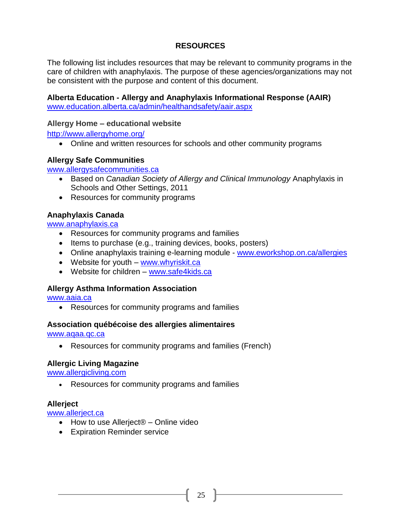## **RESOURCES**

The following list includes resources that may be relevant to community programs in the care of children with anaphylaxis. The purpose of these agencies/organizations may not be consistent with the purpose and content of this document.

# **Alberta Education - Allergy and Anaphylaxis Informational Response (AAIR)**

www.education.alberta.ca/admin/healthandsafety/aair.aspx

#### **Allergy Home – educational website**

<http://www.allergyhome.org/>

Online and written resources for schools and other community programs

#### **Allergy Safe Communities**

[www.allergysafecommunities.ca](http://www.allergysafecommunities.ca/)

- Based on *Canadian Society of Allergy and Clinical Immunology* Anaphylaxis in Schools and Other Settings, 2011
- Resources for community programs

#### **Anaphylaxis Canada**

[www.anaphylaxis.ca](http://www.anaphylaxis.ca/)

- Resources for community programs and families
- $\bullet$  Items to purchase (e.g., training devices, books, posters)
- Online anaphylaxis training e-learning module [www.eworkshop.on.ca/allergies](http://www.eworkshop.on.ca/allergies)
- Website for youth [www.whyriskit.ca](http://www.whyriskit.ca/)
- Website for children [www.safe4kids.ca](http://www.safe4kids.ca/)

## **Allergy Asthma Information Association**

[www.aaia.ca](http://www.aaia.ca/)

Resources for community programs and families

#### **Association québécoise des allergies alimentaires**

[www.aqaa.qc.ca](http://www.aqaa.qc.ca/)

Resources for community programs and families (French)

#### **Allergic Living Magazine**

[www.allergicliving.com](http://www.allergicliving.com/)

Resources for community programs and families

#### **Allerject**

www.allerject.ca

- How to use Allerject® Online video
- Expiration Reminder service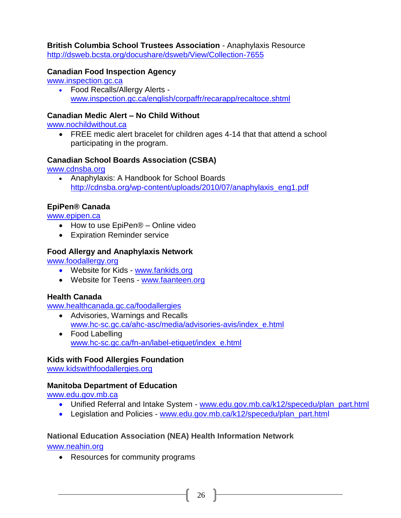**British Columbia School Trustees Association** *-* Anaphylaxis Resource http://dsweb.bcsta.org/docushare/dsweb/View/Collection-7655

## **Canadian Food Inspection Agency**

[www.inspection.gc.ca](http://www.inspection.gc.ca/)

 Food Recalls/Allergy Alerts [www.inspection.gc.ca/english/corpaffr/recarapp/recaltoce.shtml](http://www.inspection.gc.ca/english/corpaffr/recarapp/recaltoce.shtml)

#### **Canadian Medic Alert – No Child Without**

[www.nochildwithout.ca](http://www.nochildwithout.ca/)

• FREE medic alert bracelet for children ages 4-14 that that attend a school participating in the program.

#### **Canadian School Boards Association (CSBA)**

[www.cdnsba.org](http://www.cdnsba.org/)

• Anaphylaxis: A Handbook for School Boards http://cdnsba.org/wp-content/uploads/2010/07/anaphylaxis\_eng1.pdf

## **EpiPen® Canada**

[www.epipen.ca](http://www.epipen.ca/)

- How to use EpiPen<sup>®</sup> Online video
- Expiration Reminder service

#### **Food Allergy and Anaphylaxis Network**

[www.foodallergy.org](http://www.foodallergy.org/)

- Website for Kids [www.fankids.org](http://www.fankids.org/)
- Website for Teens [www.faanteen.org](http://www.faanteen.org/)

## **Health Canada**

[www.healthcanada.gc.ca/foodallergies](http://www.healthcanada.gc.ca/foodallergies)

- Advisories, Warnings and Recalls [www.hc-sc.gc.ca/ahc-asc/media/advisories-avis/index\\_e.html](http://www.hc-sc.gc.ca/ahc-asc/media/advisories-avis/index_e.html)
- Food Labelling [www.hc-sc.gc.ca/fn-an/label-etiquet/index\\_e.html](http://www.hc-sc.gc.ca/fn-an/label-etiquet/index_e.html)

## **Kids with Food Allergies Foundation**

www[.kidsw](http://kidswithfoodallergies.org/mat.html)ithfoodallergies.org

## **Manitoba Department of Education**

www.edu.gov.mb.ca

- Unified Referral and Intake System www.edu.gov.mb.ca/k12/specedu/plan\_part.html
- Legislation and Policies www.edu.gov.mb.ca/k12/specedu/plan\_part.html

## **National Education Association (NEA) Health Information Network**

[www.neahin.org](http://www.neahin.org/)

• Resources for community programs